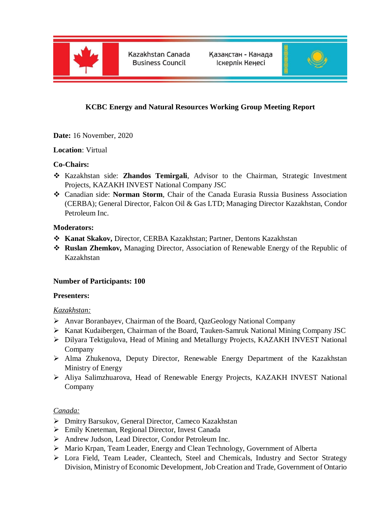

Kazakhstan Canada **Business Council** 

Қазақстан - Канада Іскерлік Кеңесі



# **KCBC Energy and Natural Resources Working Group Meeting Report**

**Date:** 16 November, 2020

#### **Location**: Virtual

## **Co-Chairs:**

- Kazakhstan side: **Zhandos Temirgali**, Advisor to the Chairman, Strategic Investment Projects, KAZAKH INVEST National Company JSC
- Canadian side: **Norman Storm**, Chair of the Canada Eurasia Russia Business Association (CERBA); General Director, Falcon Oil & Gas LTD; Managing Director Kazakhstan, Condor Petroleum Inc.

#### **Moderators:**

- **Kanat Skakov,** Director, CERBA Kazakhstan; Partner, Dentons Kazakhstan
- **Ruslan Zhemkov,** Managing Director, Association of Renewable Energy of the Republic of Kazakhstan

#### **Number of Participants: 100**

#### **Presenters:**

#### *Kazakhstan:*

- Anvar Boranbayev, Chairman of the Board, QazGeology National Company
- Kanat Kudaibergen, Chairman of the Board, Tauken-Samruk National Mining Company JSC
- Dilyara Tektigulova, Head of Mining and Metallurgy Projects, KAZAKH INVEST National Company
- Alma Zhukenova, Deputy Director, Renewable Energy Department of the Kazakhstan Ministry of Energy
- Aliya Salimzhuarova, Head of Renewable Energy Projects, KAZAKH INVEST National Company

#### *Canada:*

- Dmitry Barsukov, General Director, Cameco Kazakhstan
- Emily Kneteman, Regional Director, Invest Canada
- Andrew Judson, Lead Director, Condor Petroleum Inc.
- Mario Krpan, Team Leader, Energy and Clean Technology, Government of Alberta
- Lora Field, Team Leader, Cleantech, Steel and Chemicals, Industry and Sector Strategy Division, Ministry of Economic Development, Job Creation and Trade, Government of Ontario